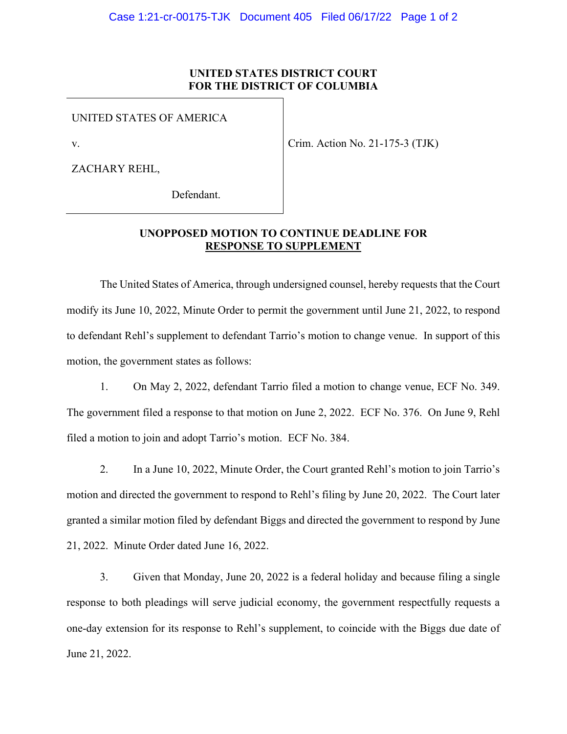## **UNITED STATES DISTRICT COURT FOR THE DISTRICT OF COLUMBIA**

UNITED STATES OF AMERICA

v.

Crim. Action No. 21-175-3 (TJK)

ZACHARY REHL,

Defendant.

## **UNOPPOSED MOTION TO CONTINUE DEADLINE FOR RESPONSE TO SUPPLEMENT**

The United States of America, through undersigned counsel, hereby requests that the Court modify its June 10, 2022, Minute Order to permit the government until June 21, 2022, to respond to defendant Rehl's supplement to defendant Tarrio's motion to change venue. In support of this motion, the government states as follows:

1. On May 2, 2022, defendant Tarrio filed a motion to change venue, ECF No. 349. The government filed a response to that motion on June 2, 2022. ECF No. 376. On June 9, Rehl filed a motion to join and adopt Tarrio's motion. ECF No. 384.

2. In a June 10, 2022, Minute Order, the Court granted Rehl's motion to join Tarrio's motion and directed the government to respond to Rehl's filing by June 20, 2022. The Court later granted a similar motion filed by defendant Biggs and directed the government to respond by June 21, 2022. Minute Order dated June 16, 2022.

3. Given that Monday, June 20, 2022 is a federal holiday and because filing a single response to both pleadings will serve judicial economy, the government respectfully requests a one-day extension for its response to Rehl's supplement, to coincide with the Biggs due date of June 21, 2022.